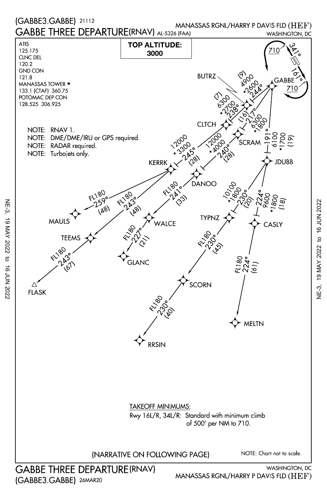